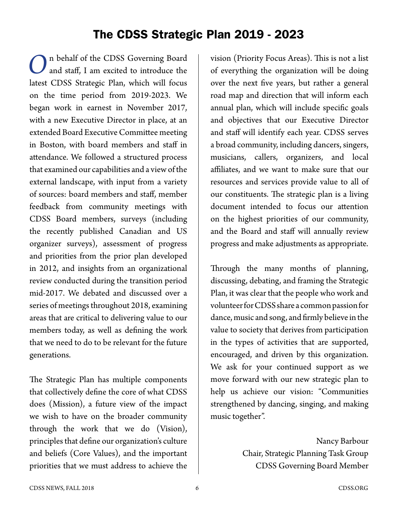### The CDSS Strategic Plan 2019 - 2023

n behalf of the CDSS Governing Board and staff, I am excited to introduce the latest CDSS Strategic Plan, which will focus on the time period from 2019-2023. We began work in earnest in November 2017, with a new Executive Director in place, at an extended Board Executive Committee meeting in Boston, with board members and staff in attendance. We followed a structured process that examined our capabilities and a view of the external landscape, with input from a variety of sources: board members and staff, member feedback from community meetings with CDSS Board members, surveys (including the recently published Canadian and US organizer surveys), assessment of progress and priorities from the prior plan developed in 2012, and insights from an organizational review conducted during the transition period mid-2017. We debated and discussed over a series of meetings throughout 2018, examining areas that are critical to delivering value to our members today, as well as defining the work that we need to do to be relevant for the future generations.

The Strategic Plan has multiple components that collectively define the core of what CDSS does (Mission), a future view of the impact we wish to have on the broader community through the work that we do (Vision), principles that define our organization's culture and beliefs (Core Values), and the important priorities that we must address to achieve the

vision (Priority Focus Areas). This is not a list of everything the organization will be doing over the next five years, but rather a general road map and direction that will inform each annual plan, which will include specific goals and objectives that our Executive Director and staff will identify each year. CDSS serves a broad community, including dancers, singers, musicians, callers, organizers, and local affiliates, and we want to make sure that our resources and services provide value to all of our constituents. The strategic plan is a living document intended to focus our attention on the highest priorities of our community, and the Board and staff will annually review progress and make adjustments as appropriate.

Through the many months of planning, discussing, debating, and framing the Strategic Plan, it was clear that the people who work and volunteer for CDSS share a common passion for dance, music and song, and firmly believe in the value to society that derives from participation in the types of activities that are supported, encouraged, and driven by this organization. We ask for your continued support as we move forward with our new strategic plan to help us achieve our vision: "Communities strengthened by dancing, singing, and making music together".

> Nancy Barbour Chair, Strategic Planning Task Group CDSS Governing Board Member